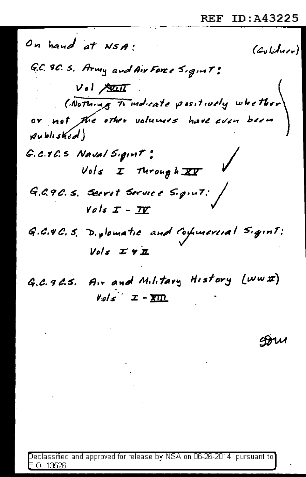On hand at NSA!  $(c_{\text{al}})$ G.C. 9C. S. Army and Air Force Sigint:  $Vol$  state ( Nothing To indicate positively whether or not the other volumes have even been published) G.C.T.C.S Naval Sigint:  $Vols$  I Turough  $XY$ G.G.9C.S. Secret Service Sigint: /  $Vols$   $I - II$ G.C.4C.S. D. plomatic and Commercial Sigint:  $Vols Z9Z$ 

G.C. 96.5. Air and Military History (www)  $V_{\mathcal{Q}}/s$   $\mathcal{I}$  -  $\overline{\text{X}}$   $\overline{\text{Y}}$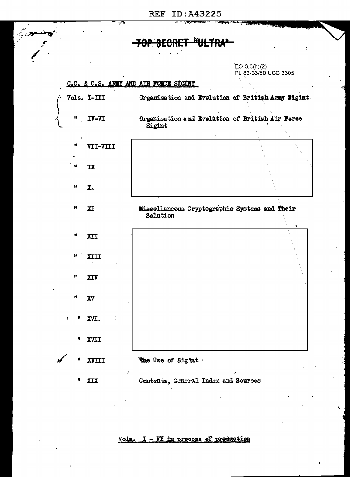$EO 3.3(h)(2)$ PL 86-36/50 USC 3605

## G.C. & C.S. ARMY AND AIR FORCE SIGHT



Vols. I - VI in process of production